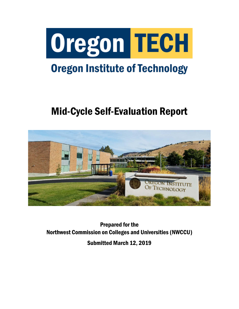

# **Oregon Institute of Technology**

# Mid-Cycle Self-Evaluation Report



Prepared for the Northwest Commission on Colleges and Universities (NWCCU)

Submitted March 12, 2019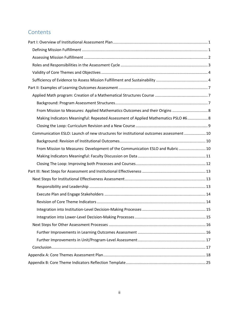# **Contents**

| From Mission to Measures: Applied Mathematics Outcomes and their Origins  8            |  |
|----------------------------------------------------------------------------------------|--|
| Making Indicators Meaningful: Repeated Assessment of Applied Mathematics PSLO #6 8     |  |
|                                                                                        |  |
| Communication ESLO: Launch of new structures for institutional outcomes assessment  10 |  |
|                                                                                        |  |
| From Mission to Measures: Development of the Communication ESLO and Rubric  10         |  |
|                                                                                        |  |
|                                                                                        |  |
|                                                                                        |  |
|                                                                                        |  |
|                                                                                        |  |
|                                                                                        |  |
|                                                                                        |  |
|                                                                                        |  |
|                                                                                        |  |
|                                                                                        |  |
|                                                                                        |  |
|                                                                                        |  |
|                                                                                        |  |
|                                                                                        |  |
|                                                                                        |  |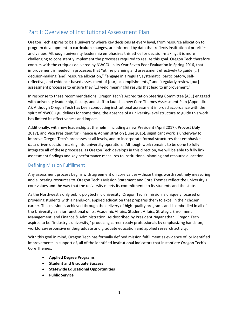# <span id="page-2-0"></span>Part I: Overview of Institutional Assessment Plan

Oregon Tech aspires to be a university where key decisions at every level, from resource allocation to program development to curriculum changes, are informed by data that reflects institutional priorities and values. Although university leadership emphasizes this ethos for decision-making, it is more challenging to consistently implement the processes required to realize this goal. Oregon Tech therefore concurs with the critiques delivered by NWCCU in its Year Seven Peer Evaluation in Spring 2016, that improvement is needed in processes that "utilize planning and assessment effectively to guide […] decision-making [and] resource allocation," "engage in a regular, systematic, participatory, selfreflective, and evidence-based assessment of [our] accomplishments," and "regularly review [our] assessment processes to ensure they […] yield meaningful results that lead to improvement."

In response to these recommendations, Oregon Tech's Accreditation Steering Committee (ASC) engaged with university leadership, faculty, and staff to launch a new Core Themes Assessment Plan (Appendix A). Although Oregon Tech has been conducting institutional assessment in broad accordance with the spirit of NWCCU guidelines for some time, the absence of a university-level structure to guide this work has limited its effectiveness and impact.

Additionally, with new leadership at the helm, including a new President (April 2017), Provost (July 2017), and Vice President for Finance & Administration (June 2016), significant work is underway to improve Oregon Tech's processes at all levels, and to incorporate formal structures that emphasize data-driven decision-making into university operations. Although work remains to be done to fully integrate all of these processes, as Oregon Tech develops in this direction, we will be able to fully link assessment findings and key performance measures to institutional planning and resource allocation.

# <span id="page-2-1"></span>Defining Mission Fulfillment

Any assessment process begins with agreement on core values—those things worth routinely measuring and allocating resources to. Oregon Tech's Mission Statement and Core Themes reflect the university's core values and the way that the university meets its commitments to its students and the state.

As the Northwest's only public polytechnic university, Oregon Tech's mission is uniquely focused on providing students with a hands-on, applied education that prepares them to excel in their chosen career. This mission is achieved through the delivery of high-quality programs and is embodied in all of the University's major functional units: Academic Affairs, Student Affairs, Strategic Enrollment Management, and Finance & Administration. As described by President Naganathan, Oregon Tech aspires to be "industry's university," producing career-ready professionals by emphasizing hands-on, workforce-responsive undergraduate and graduate education and applied research activity.

With this goal in mind, Oregon Tech has formally defined mission fulfillment as evidence of, or identified improvements in support of, all of the identified institutional indicators that instantiate Oregon Tech's Core Themes:

- **Applied Degree Programs**
- **Student and Graduate Success**
- **Statewide Educational Opportunities**
- **Public Service**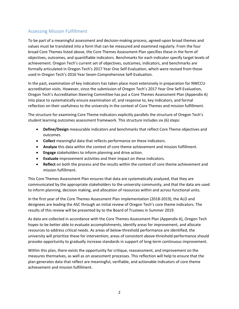# <span id="page-3-0"></span>Assessing Mission Fulfillment

To be part of a meaningful assessment and decision-making process, agreed-upon broad themes and values must be translated into a form that can be measured and examined regularly. From the four broad Core Themes listed above, the Core Themes Assessment Plan specifies these in the form of objectives, outcomes, and quantifiable indicators. Benchmarks for each indicator specify target levels of achievement. Oregon Tech's current set of objectives, outcomes, indicators, and benchmarks are formally articulated in Oregon Tech's 2017 Year One Self-Evaluation, which were revised from those used in Oregon Tech's 2016 Year Seven Comprehensive Self-Evaluation.

In the past, examination of key indicators has taken place most extensively in preparation for NWCCU accreditation visits. However, since the submission of Oregon Tech's 2017 Year One Self-Evaluation, Oregon Tech's Accreditation Steering Committee has put a Core Themes Assessment Plan (Appendix A) into place to systematically ensure examination of, and response to, key indicators, and formal reflection on their usefulness to the university in the context of Core Themes and mission fulfillment.

The structure for examining Core Theme indicators explicitly parallels the structure of Oregon Tech's student learning outcomes assessment framework. This structure includes six (6) steps:

- **Define/Design** measurable indicators and benchmarks that reflect Core Theme objectives and outcomes.
- **Collect** meaningful data that reflects performance on these indicators.
- **Analyze** this data within the context of core theme achievement and mission fulfillment.
- **Engage** stakeholders to inform planning and drive action.
- **Evaluate** improvement activities and their impact on these indicators.
- **Reflect** on both the process and the results within the context of core theme achievement and mission fulfillment.

This Core Themes Assessment Plan ensures that data are systematically analyzed, that they are communicated by the appropriate stakeholders to the university community, and that the data are used to inform planning, decision making, and allocation of resources within and across functional units.

In the first year of the Core Themes Assessment Plan implementation (2018-2019), the ALO and designees are leading the ASC through an initial review of Oregon Tech's core theme indicators. The results of this review will be presented by to the Board of Trustees in Summer 2019.

As data are collected in accordance with the Core Themes Assessment Plan (Appendix A), Oregon Tech hopes to be better able to evaluate accomplishments, identify areas for improvement, and allocate resources to address critical needs. As areas of below-threshold performance are identified, the university will prioritize these for intervention; areas of consistent above-threshold performance should provoke opportunity to gradually increase standards in support of long-term continuous improvement.

Within this plan, there exists the opportunity for critique, reassessment, and improvement on the measures themselves, as well as on assessment processes. This reflection will help to ensure that the plan generates data that reflect are meaningful, verifiable, and actionable indicators of core theme achievement and mission fulfillment.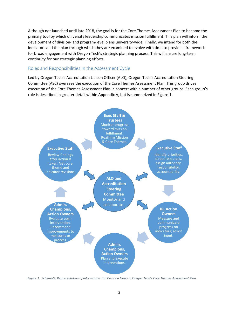Although not launched until late 2018, the goal is for the Core Themes Assessment Plan to become the primary tool by which university leadership communicates mission fulfillment. This plan will inform the development of division- and program-level plans university-wide. Finally, we intend for both the indicators and the plan through which they are examined to evolve with time to provide a framework for broad engagement with Oregon Tech's strategic planning process. This will ensure long-term continuity for our strategic planning efforts.

## <span id="page-4-0"></span>Roles and Responsibilities in the Assessment Cycle

Led by Oregon Tech's Accreditation Liaison Officer (ALO), Oregon Tech's Accreditation Steering Committee (ASC) oversees the execution of the Core Themes Assessment Plan. This group drives execution of the Core Themes Assessment Plan in concert with a number of other groups. Each group's role is described in greater detail within Appendix A, but is summarized in Figure 1.



*Figure 1. Schematic Representation of Information and Decision Flows in Oregon Tech's Core Themes Assessment Plan.*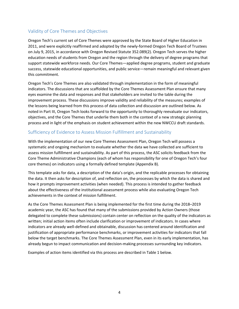# <span id="page-5-0"></span>Validity of Core Themes and Objectives

Oregon Tech's current set of Core Themes were approved by the State Board of Higher Education in 2011, and were explicitly reaffirmed and adopted by the newly-formed Oregon Tech Board of Trustees on July 9, 2015, in accordance with Oregon Revised Statute 352.089(2). Oregon Tech serves the higher education needs of students from Oregon and the region through the delivery of degree programs that support statewide workforce needs. Our Core Themes—applied degree programs, student and graduate success, statewide educational opportunities, and public service—remain meaningful and relevant given this commitment.

Oregon Tech's Core Themes are also validated through implementation in the form of meaningful indicators. The discussions that are scaffolded by the Core Themes Assessment Plan ensure that many eyes examine the data and responses and that stakeholders are invited to the table during the improvement process. These discussions improve validity and reliability of the measures; examples of the lessons being learned from this process of data collection and discussion are outlined below. As noted in Part III, Oregon Tech looks forward to the opportunity to thoroughly reevaluate our indicators, objectives, and the Core Themes that underlie them both in the context of a new strategic planning process and in light of the emphasis on student achievement within the new NWCCU draft standards.

# <span id="page-5-1"></span>Sufficiency of Evidence to Assess Mission Fulfillment and Sustainability

With the implementation of our new Core Themes Assessment Plan, Oregon Tech will possess a systematic and ongoing mechanism to evaluate whether the data we have collected are sufficient to assess mission fulfillment and sustainability. As part of this process, the ASC solicits feedback from the Core Theme Administrative Champions (each of whom has responsibility for one of Oregon Tech's four core themes) on indicators using a formally defined template (Appendix B).

This template asks for data, a description of the data's origin, and the replicable processes for obtaining the data. It then asks for description of, and reflection on, the processes by which the data is shared and how it prompts improvement activities (when needed). This process is intended to gather feedback about the effectiveness of the institutional assessment process while also evaluating Oregon Tech achievements in the context of mission fulfillment.

As the Core Themes Assessment Plan is being implemented for the first time during the 2018–2019 academic year, the ASC has found that many of the submissions provided by Action Owners (those delegated to complete these submissions) contain center on reflection on the quality of the indicators as written; initial action items often include clarification or improvement of indicators. In cases where indicators are already well-defined and obtainable, discussion has centered around identification and justification of appropriate performance benchmarks, or improvement activities for indicators that fall below the target benchmarks. The Core Themes Assessment Plan, even in its early implementation, has already begun to impact communication and decision-making processes surrounding key indicators.

Examples of action items identified via this process are described in Table 1 below.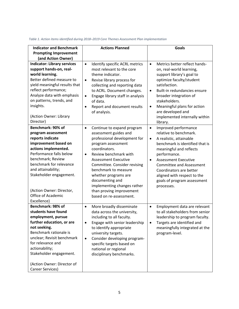| <b>Indicator and Benchmark</b>                                                                                                                                                                                                                                                                           | <b>Actions Planned</b>                                                                                                                                                                                                                                                                                                                                                                                | <b>Goals</b>                                                                                                                                                                                                                                                                                                                                                            |
|----------------------------------------------------------------------------------------------------------------------------------------------------------------------------------------------------------------------------------------------------------------------------------------------------------|-------------------------------------------------------------------------------------------------------------------------------------------------------------------------------------------------------------------------------------------------------------------------------------------------------------------------------------------------------------------------------------------------------|-------------------------------------------------------------------------------------------------------------------------------------------------------------------------------------------------------------------------------------------------------------------------------------------------------------------------------------------------------------------------|
| <b>Prompting Improvement</b>                                                                                                                                                                                                                                                                             |                                                                                                                                                                                                                                                                                                                                                                                                       |                                                                                                                                                                                                                                                                                                                                                                         |
| (and Action Owner)                                                                                                                                                                                                                                                                                       |                                                                                                                                                                                                                                                                                                                                                                                                       |                                                                                                                                                                                                                                                                                                                                                                         |
| <b>Indicator: Library services</b><br>support hands-on, real-<br>world learning.<br>Better defined measure to<br>yield meaningful results that<br>reflect performance;<br>Analyze data with emphasis<br>on patterns, trends, and<br>insights.<br>(Action Owner: Library<br>Director)                     | Identify specific ACRL metrics<br>$\bullet$<br>most relevant to the core<br>theme indicator.<br>Revise library process for<br>$\bullet$<br>collecting and reporting data<br>to ACRL. Document changes.<br>Engage library staff in analysis<br>$\bullet$<br>of data.<br>Report and document results<br>$\bullet$<br>of analysis.                                                                       | Metrics better reflect hands-<br>$\bullet$<br>on, real-world learning,<br>support library's goal to<br>optimize faculty/student<br>satisfaction.<br>Built-in redundancies ensure<br>$\bullet$<br>broader integration of<br>stakeholders.<br>Meaningful plans for action<br>$\bullet$<br>are developed and<br>implemented internally within<br>library.                  |
| Benchmark: 90% of<br>program assessment<br>reports indicate<br>improvement based on<br>actions implemented.<br>Performance falls below<br>benchmark; Review<br>benchmark for relevance<br>and attainability;<br>Stakeholder engagement.<br>(Action Owner: Director,<br>Office of Academic<br>Excellence) | Continue to expand program<br>$\bullet$<br>assessment guides and<br>professional development for<br>program assessment<br>coordinators.<br>Review benchmark with<br>$\bullet$<br><b>Assessment Executive</b><br>Committee. Consider revising<br>benchmark to measure<br>whether programs are<br>documenting and<br>implementing changes rather<br>than proving improvement<br>based on re-assessment. | Improved performance<br>$\bullet$<br>relative to benchmark.<br>A realistic, attainable<br>$\bullet$<br>benchmark is identified that is<br>meaningful and reflects<br>performance.<br><b>Assessment Executive</b><br>$\bullet$<br><b>Committee and Assessment</b><br>Coordinators are better<br>aligned with respect to the<br>goals of program assessment<br>processes. |
| Benchmark: 98% of<br>students have found<br>employment, pursue<br>further education, or are<br>not seeking.<br>Benchmark rationale is<br>unclear; Revisit benchmark<br>for relevance and<br>actionability;<br>Stakeholder engagement.<br>(Action Owner: Director of<br>Career Services)                  | More broadly disseminate<br>$\bullet$<br>data across the university,<br>including to all faculty.<br>Engage with senior leadership<br>٠<br>to identify appropriate<br>university targets.<br>Consider developing program-<br>$\bullet$<br>specific targets based on<br>national or regional<br>disciplinary benchmarks.                                                                               | Employment data are relevant<br>$\bullet$<br>to all stakeholders from senior<br>leadership to program faculty.<br>Targets are identified and<br>meaningfully integrated at the<br>program-level.                                                                                                                                                                        |

#### *Table 1. Action items identified during 2018–2019 Core Themes Assessment Plan implementation*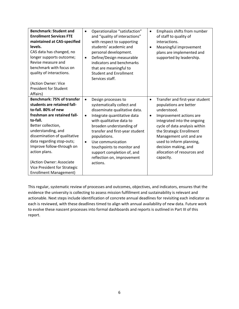| CAS data has changed, no<br>longer supports outcome;<br>$\bullet$<br>Revise measure and<br>benchmark with focus on<br>quality of interactions.<br>(Action Owner: Vice<br><b>President for Student</b><br>Affairs)                                                                                                                                                                            | that are meaningful to<br><b>Student and Enrollment</b><br>Services staff.                                                                                                                                                                                                                                                                              |                                                                                                                                                                                                                                                                                                                                                      |
|----------------------------------------------------------------------------------------------------------------------------------------------------------------------------------------------------------------------------------------------------------------------------------------------------------------------------------------------------------------------------------------------|---------------------------------------------------------------------------------------------------------------------------------------------------------------------------------------------------------------------------------------------------------------------------------------------------------------------------------------------------------|------------------------------------------------------------------------------------------------------------------------------------------------------------------------------------------------------------------------------------------------------------------------------------------------------------------------------------------------------|
| <b>Benchmark: 75% of transfer</b><br>$\bullet$<br>students are retained fall-<br>to-fall. 80% of new<br>freshman are retained fall-<br>$\bullet$<br>to-fall.<br>Better collection,<br>understanding, and<br>dissemination of qualitative<br>data regarding stop-outs;<br>$\bullet$<br>Improve follow-through on<br>action plans.<br>(Action Owner: Associate<br>Vice President for Strategic | Design processes to<br>systematically collect and<br>disseminate qualitative data.<br>Integrate quantitative data<br>with qualitative data to<br>broaden understanding of<br>transfer and first-year student<br>populations.<br>Use communication<br>touchpoints to monitor and<br>support completion of, and<br>reflection on, improvement<br>actions. | Transfer and first-year student<br>$\bullet$<br>populations are better<br>understood.<br>Improvement actions are<br>$\bullet$<br>integrated into the ongoing<br>cycle of data analysis within<br>the Strategic Enrollment<br>Management unit and are<br>used to inform planning,<br>decision making, and<br>allocation of resources and<br>capacity. |

This regular, systematic review of processes and outcomes, objectives, and indicators, ensures that the evidence the university is collecting to assess mission fulfillment and sustainability is relevant and actionable. Next steps include identification of concrete annual deadlines for revisiting each indicator as each is reviewed, with these deadlines timed to align with annual availability of new data. Future work to evolve these nascent processes into formal dashboards and reports is outlined in Part III of this report.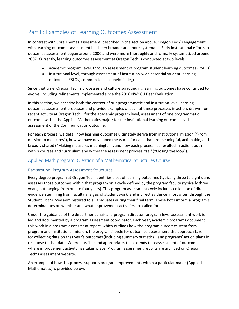# <span id="page-8-0"></span>Part II: Examples of Learning Outcomes Assessment

In contrast with Core Themes assessment, described in the section above, Oregon Tech's engagement with learning outcomes assessment has been broader and more systematic. Early institutional efforts in outcomes assessment began around 2000 and were more thoroughly and formally systematized around 2007. Currently, learning outcomes assessment at Oregon Tech is conducted at two levels:

- academic program level, through assessment of program student learning outcomes (PSLOs)
- institutional level, through assessment of institution-wide essential student learning outcomes (ESLOs) common to all bachelor's degrees.

Since that time, Oregon Tech's processes and culture surrounding learning outcomes have continued to evolve, including refinements implemented since the 2016 NWCCU Peer Evaluation.

In this section, we describe both the context of our programmatic and institution-level learning outcomes assessment processes and provide examples of each of these processes in action, drawn from recent activity at Oregon Tech—for the academic program level, assessment of one programmatic outcome within the Applied Mathematics major; for the institutional learning outcome level, assessment of the Communication outcome.

For each process, we detail how learning outcomes ultimately derive from institutional mission ("From mission to measures"), how we have developed measures for each that are meaningful, actionable, and broadly shared ("Making measures meaningful"), and how each process has resulted in action, both within courses and curriculum and within the assessment process itself ("Closing the loop").

# <span id="page-8-1"></span>Applied Math program: Creation of a Mathematical Structures Course

# <span id="page-8-2"></span>Background: Program Assessment Structures

Every degree program at Oregon Tech identifies a set of learning outcomes (typically three to eight), and assesses those outcomes within that program on a cycle defined by the program faculty (typically three years, but ranging from one to four years). This program assessment cycle includes collection of direct evidence stemming from faculty analysis of student work, and indirect evidence, most often through the Student Exit Survey administered to all graduates during their final term. These both inform a program's determinations on whether and what improvement activities are called for.

Under the guidance of the department chair and program director, program-level assessment work is led and documented by a program assessment coordinator. Each year, academic programs document this work in a program assessment report, which outlines how the program outcomes stem from program and institutional mission, the programs' cycle for outcomes assessment, the approach taken for collecting data on that year's outcomes (including summary statistics), and programs' action plans in response to that data. Where possible and appropriate, this extends to reassessment of outcomes where improvement activity has taken place. Program assessment reports are archived on Oregon Tech's assessment website.

An example of how this process supports program improvements within a particular major (Applied Mathematics) is provided below.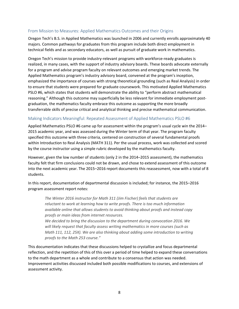# <span id="page-9-0"></span>From Mission to Measures: Applied Mathematics Outcomes and their Origins

Oregon Tech's B.S. in Applied Mathematics was launched in 2006 and currently enrolls approximately 40 majors. Common pathways for graduates from this program include both direct employment in technical fields and as secondary educators, as well as pursuit of graduate work in mathematics.

Oregon Tech's mission to provide industry-relevant programs with workforce-ready graduates is realized, in many cases, with the support of industry advisory boards. These boards advocate externally for a program and advise program faculty on relevant outcomes and emerging market trends. The Applied Mathematics program's industry advisory board, convened at the program's inception, emphasized the importance of courses with strong theoretical grounding (such as Real Analysis) in order to ensure that students were prepared for graduate coursework. This motivated Applied Mathematics PSLO #6, which states that students will demonstrate the ability to "perform abstract mathematical reasoning." Although this outcome may superficially be less relevant for immediate employment postgraduation, the mathematics faculty embrace this outcome as supporting the more broadly transferrable skills of precise critical and analytical thinking and precise mathematical communication.

#### <span id="page-9-1"></span>Making Indicators Meaningful: Repeated Assessment of Applied Mathematics PSLO #6

Applied Mathematics PSLO #6 came up for assessment within the program's usual cycle win the 2014– 2015 academic year, and was assessed during the Winter term of that year. The program faculty specified this outcome with three criteria, centered on construction of several fundamental proofs within Introduction to Real Analysis (MATH 311). Per the usual process, work was collected and scored by the course instructor using a simple rubric developed by the mathematics faculty.

However, given the low number of students (only 2 in the 2014–2015 assessment), the mathematics faculty felt that firm conclusions could not be drawn, and chose to extend assessment of this outcome into the next academic year. The 2015–2016 report documents this reassessment, now with a total of 8 students.

In this report, documentation of departmental discussion is included; for instance, the 2015–2016 program assessment report notes:

*The Winter 2016 instructor for Math 311 (Jim Fischer) feels that students are reluctant to work at learning how to write proofs. There is too much information available online that allows students to avoid thinking about proofs and instead copy proofs or main ideas from internet resources.*

*We decided to bring the discussion to the department during convocation 2016. We will likely request that faculty assess writing mathematics in more courses (such as Math 111, 112, 25X). We are also thinking about adding some introduction to writing proofs to the Math 253 course."*

This documentation indicates that these discussions helped to crystallize and focus departmental reflection, and the repetition of this of this over a period of time helped to expand these conversations to the math department as a whole and contribute to a consensus that action was needed. Improvement activities discussed included both possible modifications to courses, and extensions of assessment activity.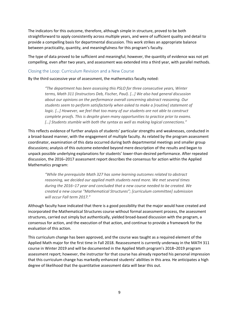The indicators for this outcome, therefore, although simple in structure, proved to be both straightforward to apply consistently across multiple years, and were of sufficient quality and detail to provide a compelling basis for departmental discussion. This work strikes an appropriate balance between practicality, quantity, and meaningfulness for this program's faculty.

The type of data proved to be sufficient and meaningful; however, the quantity of evidence was not yet compelling, even after two years, and assessment was extended into a third year, with parallel methods.

#### <span id="page-10-0"></span>Closing the Loop: Curriculum Revision and a New Course

By the third successive year of assessment, the mathematics faculty noted:

*"The department has been assessing this PSLO for three consecutive years, Winter terms, Math 311 (Instructors Deb, Fischer, Paul). […] We also had general discussion about our opinions on the performance overall concerning abstract reasoning. Our students seem to perform satisfactorily when asked to make a [routine] statement of logic. [...] However, we feel that too many of our students are not able to construct complete proofs. This is despite given many opportunities to practice prior to exams. […] Students stumble with both the syntax as well as making logical connections."*

This reflects evidence of further analysis of students' particular strengths and weaknesses, conducted in a broad-based manner, with the engagement of multiple faculty. As related by the program assessment coordinator, examination of this data occurred during both departmental meetings and smaller group discussions; analysis of this outcome extended beyond mere description of the results and began to unpack possible underlying explanations for students' lower-than-desired performance. After repeated discussion, the 2016–2017 assessment report describes the consensus for action within the Applied Mathematics program:

*"While the prerequisite Math 327 has some learning outcomes related to abstract reasoning, we decided our applied math students need more. We met several times during the 2016–17 year and concluded that a new course needed to be created. We created a new course "Mathematical Structures"; [curriculum committee] submission will occur Fall term 2017."*

Although faculty have indicated that there is a good possibility that the major would have created and incorporated the Mathematical Structures course without formal assessment process, the assessment structures, carried out simply but authentically, yielded broad-based discussion with the program, a consensus for action, and the execution of that action, and continue to provide a framework for the evaluation of this action.

This curriculum change has been approved, and the course was taught as a required element of the Applied Math major for the first time in Fall 2018. Reassessment is currently underway in the MATH 311 course in Winter 2019 and will be documented in the Applied Math program's 2018–2019 program assessment report; however, the instructor for that course has already reported his personal impression that this curriculum change has markedly enhanced students' abilities in this area. He anticipates a high degree of likelihood that the quantitative assessment data will bear this out.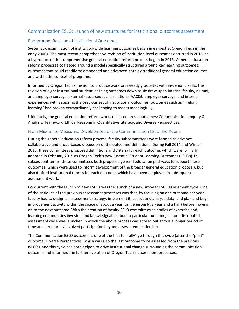# <span id="page-11-0"></span>Communication ESLO: Launch of new structures for institutional outcomes assessment

## <span id="page-11-1"></span>Background: Revision of Institutional Outcomes

Systematic examination of institution-wide learning outcomes began in earnest at Oregon Tech in the early 2000s. The most recent comprehensive revision of institution-level outcomes occurred in 2015, as a byproduct of the comprehensive general education reform process begun in 2013. General education reform processes coalesced around a model specifically structured around key learning outcomes: outcomes that could readily be embedded and advanced both by traditional general education courses and within the context of programs.

Informed by Oregon Tech's mission to produce workforce-ready graduates with in-demand skills, the revision of eight institutional student learning outcomes down to six drew upon internal faculty, alumni, and employer surveys; external resources such as national AAC&U employer surveys; and internal experiences with assessing the previous set of institutional outcomes (outcomes such as "lifelong learning" had proven extraordinarily challenging to assess meaningfully).

Ultimately, the general education reform work coalesced on six outcomes: Communication, Inquiry & Analysis, Teamwork, Ethical Reasoning, Quantitative Literacy, and Diverse Perspectives.

#### <span id="page-11-2"></span>From Mission to Measures: Development of the Communication ESLO and Rubric

During the general education reform process, faculty subcommittees were formed to advance collaborative and broad-based discussion of the outcomes' definitions. During Fall 2014 and Winter 2015, these committees proposed definitions and criteria for each outcome, which were formally adopted in February 2015 as Oregon Tech's new Essential Student Learning Outcomes (ESLOs). In subsequent terms, these committees both proposed general education pathways to support these outcomes (which were used to inform development of the broader general education proposal), but also drafted institutional rubrics for each outcome, which have been employed in subsequent assessment work.

Concurrent with the launch of new ESLOs was the launch of a new six-year ESLO assessment cycle. One of the critiques of the previous assessment processes was that, by focusing on one outcome per year, faculty had to design an assessment strategy, implement it, collect and analyze data, and plan and begin improvement activity within the space of about a year (or, generously, a year and a half) before moving on to the next outcome. With the creation of faculty ESLO committees as bodies of expertise and learning communities invested and knowledgeable about a particular outcome, a more distributed assessment cycle was launched in which the above process was spread out across a longer period of time and structurally involved participation beyond assessment leadership.

The Communication ESLO outcome is one of the first to "fully" go through this cycle (after the "pilot" outcome, Diverse Perspectives, which was also the last outcome to be assessed from the previous ISLO's), and this cycle has both helped to drive institutional change surrounding the communication outcome and informed the further evolution of Oregon Tech's assessment processes.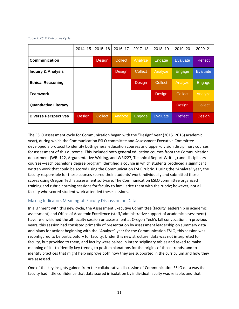*Table 2. ESLO Outcomes Cycle.*

|                               | $2014 - 15$ | $2015 - 16$ | 2016-17 | $2017 - 18$    | $2018 - 19$     | $2019 - 20$    | $2020 - 21$     |
|-------------------------------|-------------|-------------|---------|----------------|-----------------|----------------|-----------------|
| Communication                 |             | Design      | Collect | <b>Analyze</b> | Engage          | Evaluate       | <b>Reflect</b>  |
| <b>Inquiry &amp; Analysis</b> |             |             | Design  | <b>Collect</b> | Analyze         | Engage         | <b>Evaluate</b> |
| <b>Ethical Reasoning</b>      |             |             |         | Design         | Collect         | Analyze        | Engage          |
| <b>Teamwork</b>               |             |             |         |                | Design          | Collect        | Analyze         |
| <b>Quantitative Literacy</b>  |             |             |         |                |                 | Design         | Collect         |
| <b>Diverse Perspectives</b>   | Design      | Collect     | Analyze | Engage         | <b>Evaluate</b> | <b>Reflect</b> | Design          |

The ESLO assessment cycle for Communication began with the "Design" year (2015–2016) academic year), during which the Communication ESLO committee and Assessment Executive Committee developed a protocol to identify both general education courses and upper-division disciplinary courses for assessment of this outcome. This included both general education courses from the Communication department (WRI 122, Argumentative Writing, and WRI227, Technical Report Writing) and disciplinary courses—each bachelor's degree program identified a course in which students produced a significant written work that could be scored using the Communication ESLO rubric. During the "Analyze" year, the faculty responsible for these courses scored their students' work individually and submitted those scores using Oregon Tech's assessment software. The Communication ESLO committee organized training and rubric norming sessions for faculty to familiarize them with the rubric; however, not all faculty who scored student work attended these sessions.

# <span id="page-12-0"></span>Making Indicators Meaningful: Faculty Discussion on Data

In alignment with this new cycle, the Assessment Executive Committee (faculty leadership in academic assessment) and Office of Academic Excellence (staff/administrative support of academic assessment) have re-envisioned the all-faculty session on assessment at Oregon Tech's fall convocation. In previous years, this session had consisted primarily of presentation by assessment leadership on summary data and plans for action; beginning with the "Analyze" year for the Communication ESLO, this session was reconfigured to be participatory for faculty. Under this new structure, data was not interpreted for faculty, but provided to them, and faculty were paired in interdisciplinary tables and asked to make meaning of it—to identify key trends, to posit explanations for the origins of those trends, and to identify practices that might help improve both how they are supported in the curriculum and how they are assessed.

One of the key insights gained from the collaborative discussion of Communication ESLO data was that faculty had little confidence that data scored in isolation by individual faculty was reliable, and that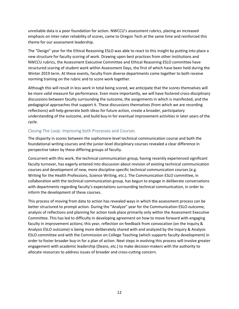unreliable data is a poor foundation for action. NWCCU's assessment rubrics, placing an increased emphasis on inter-rater reliability of scores, came to Oregon Tech at the same time and reinforced this theme for our assessment leadership.

The "Design" year for the Ethical Reasoning ESLO was able to react to this insight by putting into place a new structure for faculty scoring of work. Drawing upon best practices from other institutions and NWCCU rubrics, the Assessment Executive Committee and Ethical Reasoning ESLO committee have structured scoring of student work within Assessment Days, the first of which have been held during the Winter 2019 term. At these events, faculty from diverse departments come together to both receive norming training on the rubric and to score work together.

Although this will result in less work in total being scored, we anticipate that the scores themselves will be more valid measure for performance. Even more importantly, we will have fostered cross-disciplinary discussions between faculty surrounding the outcome, the assignments in which is manifested, and the pedagogical approaches that support it. These discussions themselves (from which we are recording reflections) will help generate both ideas for future action, create a broader, participatory understanding of the outcome, and build buy-in for eventual improvement activities in later years of the cycle.

# <span id="page-13-0"></span>Closing The Loop: Improving both Processes and Courses

The disparity in scores between the sophomore-level technical communication course and both the foundational writing courses and the junior-level disciplinary courses revealed a clear difference in perspective taken by these differing groups of faculty.

Concurrent with this work, the technical communication group, having recently experienced significant faculty turnover, has eagerly entered into discussion about revision of existing technical communication courses and development of new, more discipline-specific technical communication courses (e.g. Writing for the Health Professions, Science Writing, etc.). The Communication ESLO committee, in collaboration with the technical communication group, has begun to engage in deliberate conversations with departments regarding faculty's expectations surrounding technical communication, in order to inform the development of these courses.

This process of moving from data to action has revealed ways in which the assessment process can be better structured to prompt action. During the "Analyze" year for the Communication ESLO outcome, analysis of reflections and planning for action took place primarily only within the Assessment Executive Committee. This has led to difficulty in developing agreement on how to move forward with engaging faculty in improvement actions; this year, reflection on feedback from convocation (on the Inquiry & Analysis ESLO outcome) is being more deliberately shared with and analyzed by the Inquiry & Analysis ESLO committee and with the Commission on College Teaching (which supports faculty development) in order to foster broader buy-in for a plan of action. Next steps in evolving this process will involve greater engagement with academic leadership (Deans, etc.) to make decision-makers with the authority to allocate resources to address issues of broader and cross-cutting concern.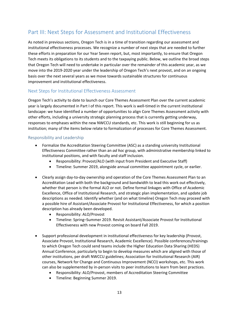# <span id="page-14-0"></span>Part III: Next Steps for Assessment and Institutional Effectiveness

As noted in previous sections, Oregon Tech is in a time of transition regarding our assessment and institutional effectiveness processes. We recognize a number of next steps that are needed to further these efforts in preparation for our Year Seven report, but, most importantly, to ensure that Oregon Tech meets its obligations to its students and to the taxpaying public. Below, we outline the broad steps that Oregon Tech will need to undertake in particular over the remainder of this academic year, as we move into the 2019-2020 year under the leadership of Oregon Tech's next provost, and on an ongoing basis over the next several years as we move towards sustainable structures for continuous improvement and institutional effectiveness.

# <span id="page-14-1"></span>Next Steps for Institutional Effectiveness Assessment

Oregon Tech's activity to date to launch our Core Themes Assessment Plan over the current academic year is largely documented in Part I of this report. This work is well-timed in the current institutional landscape: we have identified a number of opportunities to align Core Themes Assessment activity with other efforts, including a university strategic planning process that is currently getting underway, responses to emphases within the new NWCCU standards, etc. This work is still beginning for us as institution; many of the items below relate to formalization of processes for Core Themes Assessment.

#### <span id="page-14-2"></span>Responsibility and Leadership

- Formalize the Accreditation Steering Committee (ASC) as a standing university Institutional Effectiveness Committee rather than an *ad hoc* group, with administrative membership linked to institutional positions, and with faculty and staff inclusion.
	- Responsibility: Provost/ALO (with input from President and Executive Staff)
	- Timeline: Summer 2019, alongside annual committee appointment cycle, or earlier.
- Clearly assign day-to-day ownership and operation of the Core Themes Assessment Plan to an Accreditation Lead with both the background and bandwidth to lead this work out effectively, whether that person is the formal ALO or not. Define formal linkages with Office of Academic Excellence, Office of Institutional Research, and strategic plan implementation, and update job descriptions as needed. Identify whether (and on what timeline) Oregon Tech may proceed with a possible hire of Assistant/Associate Provost for Institutional Effectiveness, for which a position description has already been developed.
	- Responsibility: ALO/Provost
	- Timeline: Spring–Summer 2019. Revisit Assistant/Associate Provost for Institutional Effectiveness with new Provost coming on board Fall 2019.
- Support professional development in institutional effectiveness for key leadership (Provost, Associate Provost, Institutional Research, Academic Excellence). Possible conferences/trainings to which Oregon Tech could send teams include the Higher Education Data Sharing (HEDS) Annual Conference, particularly to begin to develop measures which are aligned with those of other institutions, per draft NWCCU guidelines; Association for Institutional Research (AIR) courses, Network for Change and Continuous Improvement (NCCI) workshops, etc. This work can also be supplemented by in-person visits to peer institutions to learn from best practices.
	- Responsibility: ALO/Provost, members of Accreditation Steering Committee
	- Timeline: Beginning Summer 2019.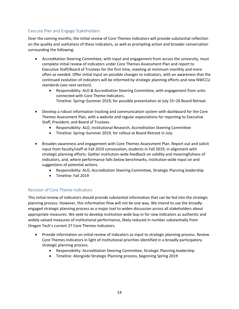# <span id="page-15-0"></span>Execute Plan and Engage Stakeholders

Over the coming months, the initial review of Core Themes indicators will provide substantial reflection on the quality and usefulness of these indicators, as well as prompting action and broader conversation surrounding the following:

- Accreditation Steering Committee, with input and engagement from across the university, must complete initial review of indicators under Core Themes Assessment Plan and report to Executive Staff/Board of Trustees for the first time, meeting at minimum monthly and more often as needed. Offer initial input on possible changes to indicators, with an awareness that the continued evolution of indicators will be informed by strategic planning efforts and new NWCCU standards (see next section).
	- Responsibility: ALO & Accreditation Steering Committee, with engagement from units connected with Core Theme Indicators. Timeline: Spring–Summer 2019, for possible presentation at July 25–26 Board Retreat.
- Develop a robust information tracking and communication system with dashboard for the Core Themes Assessment Plan, with a website and regular expectations for reporting to Executive Staff, President, and Board of Trustees.
	- Responsibility: ALO, Institutional Research, Accreditation Steering Committee
	- Timeline: Spring–Summer 2019, for rollout at Board Retreat in July.
- Broaden awareness and engagement with Core Themes Assessment Plan. Report out and solicit input from faculty/staff at Fall 2019 convocation, students in Fall 2019, in alignment with strategic planning efforts. Gather institution-wide feedback on validity and meaningfulness of indicators, and, where performance falls below benchmarks, institution-wide input on and suggestions of potential actions.
	- Responsibility: ALO, Accreditation Steering Committee, Strategic Planning leadership
	- Timeline: Fall 2019

# <span id="page-15-1"></span>Revision of Core Theme Indicators

This initial review of indicators should provide substantial information that can be fed into the strategic planning process. However, this information flow will not be one way. We intend to use the broadlyengaged strategic planning process as a major tool to widen discussion across all stakeholders about appropriate measures. We seek to develop institution-wide buy-in for new indicators as authentic and widely valued measures of institutional performance, likely reduced in number substantially from Oregon Tech's current 27 Core Themes Indicators.

- Provide information on initial review of indicators as input to strategic planning process. Review Core Themes Indicators in light of institutional priorities identified in a broadly participatory strategic planning process.
	- Responsibility: Accreditation Steering Committee, Strategic Planning leadership
	- Timeline: Alongside Strategic Planning process, beginning Spring 2019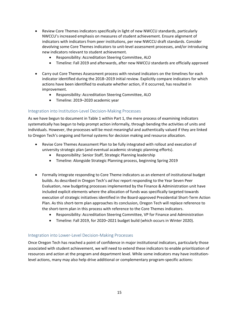- Review Core Themes indicators specifically in light of new NWCCU standards, particularly NWCCU's increased emphasis on measures of student achievement. Ensure alignment of indicators with indicators from peer institutions, per new NWCCU draft standards. Consider devolving some Core Themes indicators to unit-level assessment processes, and/or introducing new indicators relevant to student achievement.
	- Responsibility: Accreditation Steering Committee, ALO
	- Timeline: Fall 2019 and afterwards, after new NWCCU standards are officially approved
- Carry out Core Themes Assessment process with revised indicators on the timelines for each indicator identified during the 2018–2019 initial review. Explicitly compare indicators for which actions have been identified to evaluate whether action, if it occurred, has resulted in improvement.
	- Responsibility: Accreditation Steering Committee, ALO
	- Timeline: 2019–2020 academic year

#### <span id="page-16-0"></span>Integration into Institution-Level Decision-Making Processes

As we have begun to document in Table 1 within Part 1, the mere process of examining indicators systematically has begun to help prompt action informally, through bending the activities of units and individuals. However, the processes will be most meaningful and authentically valued if they are linked to Oregon Tech's ongoing and formal systems for decision making and resource allocation.

- Revise Core Themes Assessment Plan to be fully integrated with rollout and execution of university strategic plan (and eventual academic strategic planning efforts).
	- Responsibility: Senior Staff, Strategic Planning leadership
	- Timeline: Alongside Strategic Planning process, beginning Spring 2019
- Formally integrate responding to Core Theme indicators as an element of institutional budget builds. As described in Oregon Tech's *ad hoc* report responding to the Year Seven Peer Evaluation, new budgeting processes implemented by the Finance & Administration unit have included explicit elements where the allocation of funds was specifically targeted towards execution of strategic initiatives identified in the Board-approved Presidential Short-Term Action Plan. As this short-term plan approaches its conclusion, Oregon Tech will replace reference to the short-term plan in this process with reference to the Core Themes indicators.
	- Responsibility: Accreditation Steering Committee, VP for Finance and Administration
	- Timeline: Fall 2019, for 2020–2021 budget build (which occurs in Winter 2020).

#### <span id="page-16-1"></span>Integration into Lower-Level Decision-Making Processes

Once Oregon Tech has reached a point of confidence in major institutional indicators, particularly those associated with student achievement, we will need to extend these indicators to enable prioritization of resources and action at the program and department level. While some indicators may have institutionlevel actions, many may also help drive additional or complementary program-specific actions: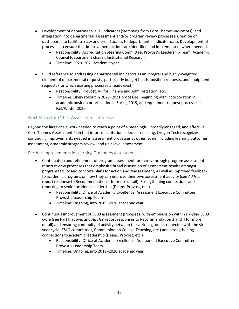- Development of department-level indicators (stemming from Core Themes Indicators), and integration into departmental assessment and/or program review processes. Creation of dashboards to facilitate easy and broad access to departmental indicator data. Development of processes to ensure that improvement actions are identified and implemented, where needed.
	- Responsibility: Accreditation Steering Committee, Provost's Leadership Team, Academic Council (department chairs), Institutional Research
	- Timeline: 2020–2021 academic year
- Build reference to addressing departmental indicators as an integral and highly-weighted element of departmental requests, particularly budget builds, position requests, and equipment requests (for which existing processes already exist).
	- Responsibility: Provost, VP for Finance and Administration, etc.
	- Timeline: Likely rollout in 2020–2021 processes, beginning with incorporation in academic position prioritization in Spring 2019, and equipment request processes in Fall/Winter 2020

# <span id="page-17-0"></span>Next Steps for Other Assessment Processes

Beyond the large-scale work needed to reach a point of a meaningful, broadly-engaged, and effective Core Themes Assessment Plan that informs institutional decision-making, Oregon Tech recognizes continuing improvements needed in assessment processes at other levels, including learning outcomes assessment, academic program review, and unit-level assessment.

#### <span id="page-17-1"></span>Further Improvements in Learning Outcomes Assessment

- Continuation and refinement of program assessment, primarily through program assessment report review processes that emphasize broad discussion of assessment results amongst program faculty and concrete plans for action and reassessment, as well as improved feedback to academic programs on how they can improve their own assessment activity (see *Ad Hoc* report response to Recommendation 4 for more detail). Strengthening connections and reporting to senior academic leadership (Deans, Provost, etc.)
	- Responsibility: Office of Academic Excellence, Assessment Executive Committee, Provost's Leadership Team
	- Timeline: Ongoing, into 2019–2020 academic year
- <span id="page-17-2"></span>• Continuous improvement of ESLO assessment processes, with emphasis on within six-year ESLO cycle (see Part II above, and *Ad Hoc* report responses to Recommendation 3 and 4 for more detail) and ensuring continuity of activity between the various groups connected with the sixyear cycle (ESLO committees, Commission on College Teaching, etc.) and strengthening connections to academic leadership (Deans, Provost, etc.)
	- Responsibility: Office of Academic Excellence, Assessment Executive Committee, Provost's Leadership Team
	- Timeline: Ongoing, into 2019–2020 academic year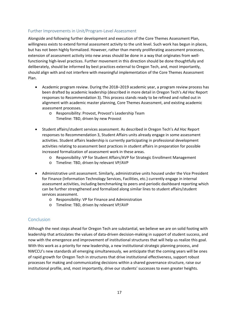### Further Improvements in Unit/Program-Level Assessment

Alongside and following further development and execution of the Core Themes Assessment Plan, willingness exists to extend formal assessment activity to the unit level. Such work has begun in places, but has not been highly formalized. However, rather than merely proliferating assessment processes, extension of assessment activity into new areas should be done in a way that originates from wellfunctioning high-level practices. Further movement in this direction should be done thoughtfully and deliberately, should be informed by best practices external to Oregon Tech, and, most importantly, should align with and not interfere with meaningful implementation of the Core Themes Assessment Plan.

- Academic program review. During the 2018–2019 academic year, a program review process has been drafted by academic leadership (described in more detail in Oregon Tech's *Ad Hoc* Report responses to Recommendation 3). This process stands ready to be refined and rolled out in alignment with academic master planning, Core Themes Assessment, and existing academic assessment processes.
	- o Responsibility: Provost, Provost's Leadership Team Timeline: TBD, driven by new Provost
- Student affairs/student services assessment. As described in Oregon Tech's *Ad Hoc* Report responses to Recommendation 3, Student Affairs units already engage in some assessment activities. Student affairs leadership is currently participating in professional development activities relating to assessment best practices in student affairs in preparation for possible increased formalization of assessment work in these areas.
	- o Responsibility: VP for Student Affairs/AVP for Strategic Enrollment Management
	- o Timeline: TBD, driven by relevant VP/AVP
- Administrative unit assessment. Similarly, administrative units housed under the Vice President for Finance (Information Technology Services, Facilities, etc.) currently engage in internal assessment activities, including benchmarking to peers and periodic dashboard reporting which can be further strengthened and formalized along similar lines to student affairs/student services assessment.
	- o Responsibility: VP for Finance and Administration
	- o Timeline: TBD, driven by relevant VP/AVP

# <span id="page-18-0"></span>Conclusion

Although the next steps ahead for Oregon Tech are substantial, we believe we are on solid footing with leadership that articulates the values of data-driven decision-making in support of student success, and now with the emergence and improvement of institutional structures that will help us realize this goal. With this work as a priority for new leadership, a new institutional strategic planning process, and NWCCU's new standards all emerging simultaneously, we anticipate that the coming years will be ones of rapid growth for Oregon Tech in structures that drive institutional effectiveness, support robust processes for making and communicating decisions within a shared governance structure, raise our institutional profile, and, most importantly, drive our students' successes to even greater heights.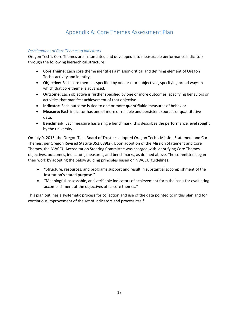# Appendix A: Core Themes Assessment Plan

#### <span id="page-19-0"></span>*Development of Core Themes to Indicators*

Oregon Tech's Core Themes are instantiated and developed into measurable performance indicators through the following hierarchical structure:

- **Core Theme:** Each core theme identifies a mission-critical and defining element of Oregon Tech's activity and identity.
- **Objective:** Each core theme is specified by one or more objectives, specifying broad ways in which that core theme is advanced.
- **Outcome:** Each objective is further specified by one or more outcomes, specifying behaviors or activities that manifest achievement of that objective.
- **Indicator:** Each outcome is tied to one or more **quantifiable** measures of behavior.
- **Measure:** Each indicator has one of more or reliable and persistent sources of quantitative data.
- **Benchmark:** Each measure has a single benchmark; this describes the performance level sought by the university.

On July 9, 2015, the Oregon Tech Board of Trustees adopted Oregon Tech's Mission Statement and Core Themes, per Oregon Revised Statute 352.089(2). Upon adoption of the Mission Statement and Core Themes, the NWCCU Accreditation Steering Committee was charged with identifying Core Themes objectives, outcomes, indicators, measures, and benchmarks, as defined above. The committee began their work by adopting the below guiding principles based on NWCCU guidelines:

- "Structure, resources, and programs support and result in substantial accomplishment of the Institution's stated purpose."
- "Meaningful, assessable, and verifiable indicators of achievement form the basis for evaluating accomplishment of the objectives of its core themes."

This plan outlines a systematic process for collection and use of the data pointed to in this plan and for continuous improvement of the set of indicators and process itself.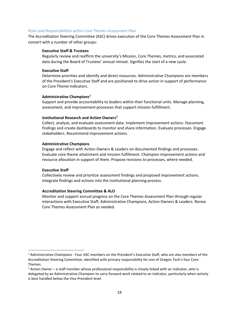#### *Roles and Responsibilities within Core Themes Assessment Plan*

The Accreditation Steering Committee (ASC) drives execution of the Core Themes Assessment Plan in concert with a number of other groups:

#### **Executive Staff & Trustees**

Regularly review and reaffirm the university's Mission, Core Themes, metrics, and associated data during the Board of Trustees' annual retreat. Signifies the start of a new cycle.

#### **Executive Staff**

Determine priorities and identify and direct resources. Administrative Champions are members of the President's Executive Staff and are positioned to drive action in support of performance on Core Theme Indicators.

#### **Administrative Champions[1](#page-20-0)**

Support and provide accountability to leaders within their functional units. Manage planning, assessment, and improvement processes that support mission fulfillment.

#### **Institutional Research and Action Owners[2](#page-20-1)**

Collect, analyze, and evaluate assessment data. Implement improvement actions. Document findings and create dashboards to monitor and share information. Evaluate processes. Engage stakeholders. Recommend improvement actions.

#### **Administrative Champions**

Engage and reflect with Action Owners & Leaders on documented findings and processes. Evaluate core theme attainment and mission fulfillment. Champion improvement actions and resource allocation in support of them. Propose revisions to processes, where needed.

#### **Executive Staff**

Collectively review and prioritize assessment findings and proposed improvement actions. Integrate findings and actions into the institutional planning process.

#### **Accreditation Steering Committee & ALO**

Monitor and support annual progress on the Core Themes Assessment Plan through regular interactions with Executive Staff, Administrative Champions, Action Owners & Leaders. Revise Core Themes Assessment Plan as needed.

<span id="page-20-0"></span> <sup>1</sup> Administrative Champions - Four ASC members on the President's Executive Staff, who are also members of the Accreditation Steering Committee, identified with primary responsibility for one of Oregon Tech's four Core Themes.

<span id="page-20-1"></span> $2$  Action Owner – a staff member whose professional responsibility is closely linked with an indicator, who is delegated by an Administrative Champion to carry forward work related to an indicator, particularly when activity is best handled below the Vice-President level.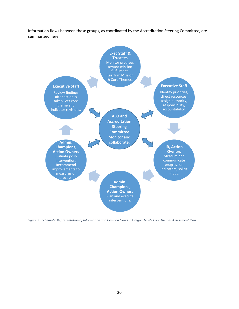Information flows between these groups, as coordinated by the Accreditation Steering Committee, are summarized here:



*Figure 2. Schematic Representation of Information and Decision Flows in Oregon Tech's Core Themes Assessment Plan.*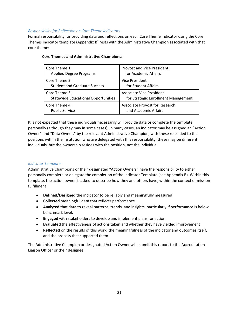#### *Responsibility for Reflection on Core Theme Indicators*

Formal responsibility for providing data and reflections on each Core Theme indicator using the Core Themes indicator template (Appendix B) rests with the Administrative Champion associated with that core theme:

| Core Theme 1:                              | <b>Provost and Vice President</b>   |
|--------------------------------------------|-------------------------------------|
| <b>Applied Degree Programs</b>             | for Academic Affairs                |
| Core Theme 2:                              | <b>Vice President</b>               |
| <b>Student and Graduate Success</b>        | for Student Affairs                 |
| Core Theme 3:                              | <b>Associate Vice President</b>     |
| <b>Statewide Educational Opportunities</b> | for Strategic Enrollment Management |
| Core Theme 4:                              | Associate Provost for Research      |
| <b>Public Service</b>                      | and Academic Affairs                |

#### **Core Themes and Administrative Champions:**

It is not expected that these individuals necessarily will provide data or complete the template personally (although they may in some cases); in many cases, an indicator may be assigned an "Action Owner" and "Data Owner," by the relevant Administrative Champion, with these roles tied to the positions within the institution who are delegated with this responsibility; these may be different individuals, but the ownership resides with the position, not the individual.

#### *Indicator Template*

Administrative Champions or their designated "Action Owners" have the responsibility to either personally complete or delegate the completion of the Indicator Template (see Appendix B). Within this template, the action owner is asked to describe how they and others have, within the context of mission fulfillment

- **Defined/Designed** the indicator to be reliably and meaningfully measured
- **Collected** meaningful data that reflects performance
- **Analyzed** that data to reveal patterns, trends, and insights, particularly if performance is below benchmark level.
- **Engaged** with stakeholders to develop and implement plans for action
- **Evaluated** the effectiveness of actions taken and whether they have yielded improvement
- **Reflected** on the results of this work, the meaningfulness of the indicator and outcomes itself, and the process that supported them.

The Administrative Champion or designated Action Owner will submit this report to the Accreditation Liaison Officer or their designee.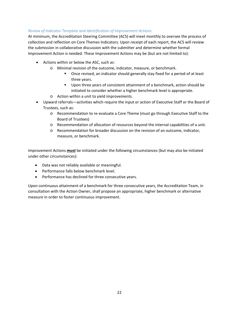#### *Review of Indicator Template and Identification of Improvement Actions:*

At minimum, the Accreditation Steering Committee (ACS) will meet monthly to oversee the process of collection and reflection on Core Themes Indicators. Upon receipt of each report, the ACS will review the submission in collaborative discussion with the submitter and determine whether formal Improvement Action is needed. These Improvement Actions may be (but are not limited to):

- Actions within or below the ASC, such as:
	- o Minimal revision of the outcome, indicator, measure, or benchmark.
		- Once revised, an indicator should generally stay fixed for a period of at least three years.
		- **Upon three years of consistent attainment of a benchmark, action should be** initiated to consider whether a higher benchmark level is appropriate.
	- o Action within a unit to yield improvements.
- Upward referrals—activities which require the input or action of Executive Staff or the Board of Trustees, such as:
	- o Recommendation to re-evaluate a Core Theme (must go through Executive Staff to the Board of Trustees)
	- o Recommendation of allocation of resources beyond the internal capabilities of a unit.
	- o Recommendation for broader discussion on the revision of an outcome, indicator, measure, or benchmark.

Improvement Actions *must* be initiated under the following circumstances (but may also be initiated under other circumstances):

- Data was not reliably available or meaningful.
- Performance falls below benchmark level.
- Performance has declined for three consecutive years.

Upon continuous attainment of a benchmark for three consecutive years, the Accreditation Team, in consultation with the Action Owner, shall propose an appropriate, higher benchmark or alternative measure in order to foster continuous improvement.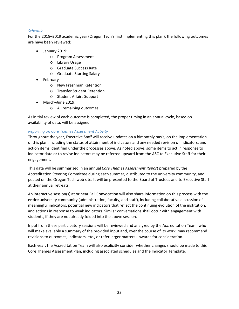#### *Schedule*

For the 2018–2019 academic year (Oregon Tech's first implementing this plan), the following outcomes are have been reviewed:

- January 2019:
	- o Program Assessment
	- o Library Usage
	- o Graduate Success Rate
	- o Graduate Starting Salary
- February
	- o New Freshman Retention
	- o Transfer Student Retention
	- o Student Affairs Support
- March–June 2019:
	- o All remaining outcomes

As initial review of each outcome is completed, the proper timing in an annual cycle, based on availability of data, will be assigned.

#### *Reporting on Core Themes Assessment Activity*

Throughout the year, Executive Staff will receive updates on a bimonthly basis, on the implementation of this plan, including the status of attainment of indicators and any needed revision of indicators, and action items identified under the processes above. As noted above, some items to act in response to indicator data or to revise indicators may be referred upward from the ASC to Executive Staff for their engagement.

This data will be summarized in an annual *Core Themes Assessment Report* prepared by the Accreditation Steering Committee during each summer, distributed to the university community, and posted on the Oregon Tech web site. It will be presented to the Board of Trustees and to Executive Staff at their annual retreats.

An interactive session(s) at or near Fall Convocation will also share information on this process with the **entire** university community (administration, faculty, and staff), including collaborative discussion of meaningful indicators, potential new indicators that reflect the continuing evolution of the institution, and actions in response to weak indicators. Similar conversations shall occur with engagement with students, if they are not already folded into the above session.

Input from these participatory sessions will be reviewed and analyzed by the Accreditation Team, who will make available a summary of the provided input and, over the course of its work, may recommend revisions to outcomes, indicators, etc., or refer larger matters upwards for consideration.

Each year, the Accreditation Team will also explicitly consider whether changes should be made to this Core Themes Assessment Plan, including associated schedules and the Indicator Template.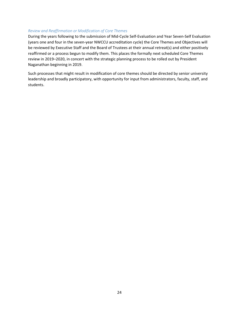#### *Review and Reaffirmation or Modification of Core Themes*

During the years following to the submission of Mid-Cycle Self-Evaluation and Year Seven-Self Evaluation (years one and four in the seven-year NWCCU accreditation cycle) the Core Themes and Objectives will be reviewed by Executive Staff and the Board of Trustees at their annual retreat(s) and either positively reaffirmed or a process begun to modify them. This places the formally next scheduled Core Themes review in 2019–2020, in concert with the strategic planning process to be rolled out by President Naganathan beginning in 2019.

Such processes that might result in modification of core themes should be directed by senior university leadership and broadly participatory, with opportunity for input from administrators, faculty, staff, and students.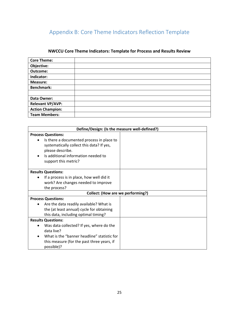# <span id="page-26-0"></span>Appendix B: Core Theme Indicators Reflection Template

# **NWCCU Core Theme Indicators: Template for Process and Results Review**

| <b>Core Theme:</b>      |  |
|-------------------------|--|
| Objective:              |  |
| Outcome:                |  |
| Indicator:              |  |
| Measure:                |  |
| <b>Benchmark:</b>       |  |
|                         |  |
| Data Owner:             |  |
| <b>Relevant VP/AVP:</b> |  |
| <b>Action Champion:</b> |  |
| <b>Team Members:</b>    |  |

| Define/Design: (Is the measure well-defined?)                                                                                                                                          |  |  |
|----------------------------------------------------------------------------------------------------------------------------------------------------------------------------------------|--|--|
| <b>Process Questions:</b>                                                                                                                                                              |  |  |
| Is there a documented process in place to<br>$\bullet$<br>systematically collect this data? If yes,<br>please describe.<br>Is additional information needed to<br>support this metric? |  |  |
| <b>Results Questions:</b>                                                                                                                                                              |  |  |
| If a process is in place, how well did it                                                                                                                                              |  |  |
| work? Are changes needed to improve                                                                                                                                                    |  |  |
| the process?                                                                                                                                                                           |  |  |
| <b>Collect: (How are we performing?)</b>                                                                                                                                               |  |  |
| <b>Process Questions:</b>                                                                                                                                                              |  |  |
| Are the data readily available? What is                                                                                                                                                |  |  |
| the (at least annual) cycle for obtaining                                                                                                                                              |  |  |
| this data, including optimal timing?                                                                                                                                                   |  |  |
| <b>Results Questions:</b>                                                                                                                                                              |  |  |
| Was data collected? If yes, where do the<br>data live?                                                                                                                                 |  |  |
| What is the "banner headline" statistic for<br>this measure (for the past three years, if<br>possible)?                                                                                |  |  |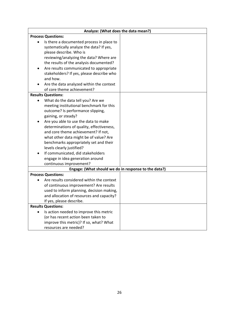| Analyze: (What does the data mean?)                                                                                                                                                                                                                                                                                                                                                                                                                                                        |  |  |
|--------------------------------------------------------------------------------------------------------------------------------------------------------------------------------------------------------------------------------------------------------------------------------------------------------------------------------------------------------------------------------------------------------------------------------------------------------------------------------------------|--|--|
| <b>Process Questions:</b>                                                                                                                                                                                                                                                                                                                                                                                                                                                                  |  |  |
| Is there a documented process in place to<br>systematically analyze the data? If yes,<br>please describe. Who is<br>reviewing/analyzing the data? Where are<br>the results of the analysis documented?<br>Are results communicated to appropriate<br>stakeholders? If yes, please describe who<br>and how.<br>Are the data analyzed within the context                                                                                                                                     |  |  |
| of core theme achievement?                                                                                                                                                                                                                                                                                                                                                                                                                                                                 |  |  |
| <b>Results Questions:</b>                                                                                                                                                                                                                                                                                                                                                                                                                                                                  |  |  |
| What do the data tell you? Are we<br>meeting institutional benchmark for this<br>outcome? Is performance slipping,<br>gaining, or steady?<br>Are you able to use the data to make<br>determinations of quality, effectiveness,<br>and core theme achievement? If not,<br>what other data might be of value? Are<br>benchmarks appropriately set and their<br>levels clearly justified?<br>If communicated, did stakeholders<br>engage in idea generation around<br>continuous improvement? |  |  |
| Engage: (What should we do in response to the data?)                                                                                                                                                                                                                                                                                                                                                                                                                                       |  |  |
| <b>Process Questions:</b><br>Are results considered within the context<br>of continuous improvement? Are results<br>used to inform planning, decision making,<br>and allocation of resources and capacity?<br>If yes, please describe.                                                                                                                                                                                                                                                     |  |  |
| <b>Results Questions:</b>                                                                                                                                                                                                                                                                                                                                                                                                                                                                  |  |  |
| Is action needed to improve this metric<br>$\bullet$<br>(or has recent action been taken to<br>improve this metric)? If so, what? What<br>resources are needed?                                                                                                                                                                                                                                                                                                                            |  |  |